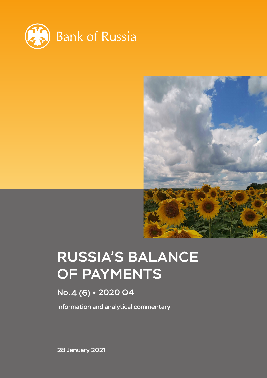



# RUSSIA'S BALANCE OF PAYMENTS

# No.4 (6) 2020 Q4

Information and analytical commentary

28 January 2021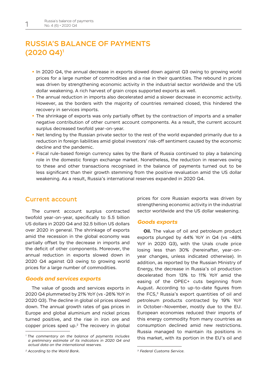## RUSSIA'S BALANCE OF PAYMENTS (2020 Q4)1

- In 2020 Q4, the annual decrease in exports slowed down against Q3 owing to growing world prices for a large number of commodities and a rise in their quantities. The rebound in prices was driven by strengthening economic activity in the industrial sector worldwide and the US dollar weakening. A rich harvest of grain crops supported exports as well.
- The annual reduction in imports also decelerated amid a slower decrease in economic activity. However, as the borders with the majority of countries remained closed, this hindered the recovery in services imports.
- The shrinkage of exports was only partially offset by the contraction of imports and a smaller negative contribution of other current account components. As a result, the current account surplus decreased twofold year-on-year.
- Net lending by the Russian private sector to the rest of the world expanded primarily due to a reduction in foreign liabilities amid global investors' risk-off sentiment caused by the economic decline and the pandemic.
- Fiscal rule-based foreign currency sales by the Bank of Russia continued to play a balancing role in the domestic foreign exchange market. Nonetheless, the reduction in reserves owing to these and other transactions recognised in the balance of payments turned out to be less significant than their growth stemming from the positive revaluation amid the US dollar weakening. As a result, Russia's international reserves expanded in 2020 Q4.

#### Current account

The current account surplus contracted twofold year-on-year, specifically to 5.5 billion US dollars in 2020 Q4 and 32.5 billion US dollars over 2020 in general. The shrinkage of exports amid the recession in the global economy was partially offset by the decrease in imports and the deficit of other components. Moreover, the annual reduction in exports slowed down in 2020 Q4 against Q3 owing to growing world prices for a large number of commodities.

#### *Goods and services exports*

The value of goods and services exports in 2020 Q4 plummeted by 21% YoY (vs -26% YoY in 2020 Q3). The decline in global oil prices slowed down. The annual growth rates of gas prices in Europe and global aluminium and nickel prices turned positive, and the rise in iron ore and copper prices sped up.2 The recovery in global prices for core Russian exports was driven by strengthening economic activity in the industrial sector worldwide and the US dollar weakening.

#### *Goods exports*

**Oil.** The value of oil and petroleum product exports plunged by 44% YoY in Q4 (vs -48% YoY in 2020 Q3), with the Urals crude price losing less than 30% (hereinafter, year-onyear changes, unless indicated otherwise). In addition, as reported by the Russian Ministry of Energy, the decrease in Russia's oil production decelerated from 13% to 11% YoY amid the easing of the OPEC+ cuts beginning from August. According to up-to-date figures from the FCS,<sup>3</sup> Russia's export quantities of oil and petroleum products contracted by 19% YoY in October–November, mostly due to the EU. European economies reduced their imports of this energy commodity from many countries as consumption declined amid new restrictions. Russia managed to maintain its positions in this market, with its portion in the EU's oil and

*<sup>1</sup> The commentary on the balance of payments includes a preliminary estimate of its indicators in 2020 Q4 and actual data on the international reserves.*

*<sup>2</sup> According to the World Bank.*

*<sup>3</sup> Federal Customs Service.*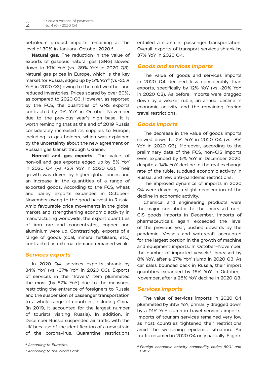petroleum product imports remaining at the level of 30% in January–October 2020.4

**Natural gas.** The reduction in the value of exports of gaseous natural gas (GNG) slowed down to 19% YoY (vs -39% YoY in 2020 Q3). Natural gas prices in Europe, which is the key market for Russia, edged up by 5% YoY<sup>5</sup> (vs -25%) YoY in 2020 Q3) owing to the cold weather and reduced inventories. Prices soared by over 80%, as compared to 2020 Q3. However, as reported by the FCS, the quantities of GNS exports contracted by 9% YoY in October–November due to the previous year's high base. It is worth reminding that at the end of 2019 Russia considerably increased its supplies to Europe, including to gas holders, which was explained by the uncertainty about the new agreement on Russian gas transit through Ukraine.

**Non-oil and gas exports.** The value of non-oil and gas exports edged up by 5% YoY in 2020 Q4 (vs +2% YoY in 2020 Q3). Their growth was driven by higher global prices and an increase in the quantities of a range of exported goods. According to the FCS, wheat and barley exports expanded in October– November owing to the good harvest in Russia. Amid favourable price movements in the global market and strengthening economic activity in manufacturing worldwide, the export quantities of iron ore and concentrates, copper and aluminium were up. Contrastingly, exports of a range of goods (coal, mineral fertilisers, etc.) contracted as external demand remained weak.

#### *Services exports*

In 2020 Q4, services exports shrank by 34% YoY (vs -37% YoY in 2020 Q3). Exports of services in the 'Travels' item plummeted the most (by 87% YoY) due to the measures restricting the entrance of foreigners to Russia and the suspension of passenger transportation to a whole range of countries, including China (in 2019, it accounted for the largest number of tourists visiting Russia). In addition, in December Russia suspended air traffic with the UK because of the identification of a new strain of the coronavirus. Quarantine restrictions

entailed a slump in passenger transportation. Overall, exports of transport services shrank by 37% YoY in 2020 Q4.

#### *Goods and services imports*

The value of goods and services imports in 2020 Q4 declined less considerably than exports, specifically by 12% YoY (vs -20% YoY in 2020 Q3). As before, imports were dragged down by a weaker ruble, an annual decline in economic activity, and the remaining foreign travel restrictions.

#### *Goods imports*

The decrease in the value of goods imports slowed down to 2% YoY in 2020 Q4 (vs -8% YoY in 2020 Q3). Moreover, according to the preliminary data of the FCS, non-CIS imports even expanded by 5% YoY in December 2020, despite a 14% YoY decline in the real exchange rate of the ruble, subdued economic activity in Russia, and new anti-pandemic restrictions.

The improved dynamics of imports in 2020 Q4 were driven by a slight deceleration of the decline in economic activity.

Chemical and engineering products were the major contributor to the increased non-CIS goods imports in December. Imports of pharmaceuticals again exceeded the level of the previous year, pushed upwards by the pandemic. Vessels and watercraft accounted for the largest portion in the growth of machine and equipment imports. In October–November, the number of imported vessels<sup>6</sup> increased by 8% YoY, after a 27% YoY slump in 2020 Q3. As car sales bounced back in Russia, their import quantities expanded by 16% YoY in October– November, after a 26% YoY decline in 2020 Q3.

#### *Services imports*

The value of services imports in 2020 Q4 plummeted by 39% YoY, primarily dragged down by a 91% YoY slump in travel services imports. Imports of tourism services remained very low as host countries tightened their restrictions amid the worsening epidemic situation. Air traffic resumed in 2020 Q4 only partially. Flights

*<sup>4</sup> According to Eurostat.*

*<sup>5</sup> According to the World Bank.*

*<sup>6</sup> Foreign economic activity commodity codes 8901 and 8902.*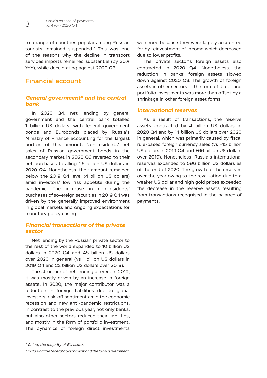to a range of countries popular among Russian tourists remained suspended.7 This was one of the reasons why the decline in transport services imports remained substantial (by 30% YoY), while decelerating against 2020 Q3.

#### Financial account

#### *General government8 and the central bank*

In 2020 Q4, net lending by general government and the central bank totalled 1 billion US dollars, with federal government bonds and Eurobonds placed by Russia's Ministry of Finance accounting for the largest portion of this amount. Non-residents' net sales of Russian government bonds in the secondary market in 2020 Q3 reversed to their net purchases totalling 1.5 billion US dollars in 2020 Q4. Nonetheless, their amount remained below the 2019 Q4 level (4 billion US dollars) amid investors' low risk appetite during the pandemic. The increase in non-residents' purchases of sovereign securities in 2019 Q4 was driven by the generally improved environment in global markets and ongoing expectations for monetary policy easing.

#### *Financial transactions of the private sector*

Net lending by the Russian private sector to the rest of the world expanded to 10 billion US dollars in 2020 Q4 and 48 billion US dollars over 2020 in general (vs 1 billion US dollars in 2019 Q4 and 22 billion US dollars over 2019).

The structure of net lending altered. In 2019, it was mostly driven by an increase in foreign assets. In 2020, the major contributor was a reduction in foreign liabilities due to global investors' risk-off sentiment amid the economic recession and new anti-pandemic restrictions. In contrast to the previous year, not only banks, but also other sectors reduced their liabilities, and mostly in the form of portfolio investment. The dynamics of foreign direct investments

worsened because they were largely accounted for by reinvestment of income which decreased due to lower profits.

The private sector's foreign assets also contracted in 2020 Q4. Nonetheless, the reduction in banks' foreign assets slowed down against 2020 Q3. The growth of foreign assets in other sectors in the form of direct and portfolio investments was more than offset by a shrinkage in other foreign asset forms.

#### *International reserves*

As a result of transactions, the reserve assets contracted by 4 billion US dollars in 2020 Q4 and by 14 billion US dollars over 2020 in general, which was primarily caused by fiscal rule-based foreign currency sales (vs +15 billion US dollars in 2019 Q4 and +66 billion US dollars over 2019). Nonetheless, Russia's international reserves expanded to 596 billion US dollars as of the end of 2020. The growth of the reserves over the year owing to the revaluation due to a weaker US dollar and high gold prices exceeded the decrease in the reserve assets resulting from transactions recognised in the balance of payments.

*<sup>7</sup> China, the majority of EU states.*

*<sup>8</sup> Including the federal government and the local government.*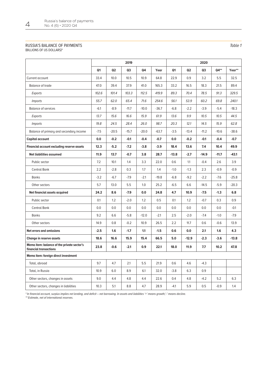#### RUSSIA'S BALANCE OF PAYMENTS

(BILLIONS OF US DOLLARS)\*

|                                                                      | 2019           |                |                |         |         | 2020    |                |         |         |         |
|----------------------------------------------------------------------|----------------|----------------|----------------|---------|---------|---------|----------------|---------|---------|---------|
|                                                                      | Q <sub>1</sub> | Q <sub>2</sub> | Q <sub>3</sub> | Q4      | Year    | Q1      | Q <sub>2</sub> | Q3      | Q4**    | Year**  |
| Current account                                                      | 33.4           | 10.0           | 10.5           | 10.9    | 64.8    | 22.9    | 0.9            | 3.2     | 5.5     | 32.5    |
| <b>Balance of trade</b>                                              | 47.0           | 39.4           | 37.9           | 41.0    | 165.3   | 33.2    | 16.5           | 18.3    | 21.5    | 89.4    |
| Exports                                                              | 102.6          | 101.4          | 103.3          | 112.5   | 419.9   | 89.3    | 70.4           | 78.5    | 91.3    | 329.5   |
| <i>Imports</i>                                                       | 55.7           | 62.0           | 65.4           | 71.6    | 254.6   | 56.1    | 53.9           | 60.2    | 69.8    | 240.1   |
| <b>Balance of services</b>                                           | $-6.1$         | $-8.9$         | $-11.7$        | $-10.0$ | $-36.7$ | $-6.8$  | $-2.2$         | -3.9    | $-5.4$  | $-18.3$ |
| Exports                                                              | 13.7           | 15.6           | 16.6           | 15.9    | 61.9    | 13.6    | 9.9            | 10.5    | 10.5    | 44.5    |
| <i>Imports</i>                                                       | 19.8           | 24.5           | 28.4           | 26.0    | 98.7    | 20.3    | 12.1           | 14.5    | 15.9    | 62.8    |
| Balance of primary and secondary income                              | $-7.5$         | $-20.5$        | $-15.7$        | $-20.0$ | $-63.7$ | $-3.5$  | $-13.4$        | $-11.2$ | $-10.6$ | $-38.6$ |
| Capital account                                                      | 0.0            | $-0.2$         | $-0.1$         | $-0.4$  | $-0.7$  | 0.0     | $-0.2$         | $-0.1$  | $-0.4$  | $-0.7$  |
| Financial account excluding reserve assets                           | 12.3           | $-5.2$         | $-7.2$         | $-3.8$  | $-3.9$  | 18.4    | 13.6           | 7.4     | 10.4    | 49.9    |
| Net liabilities assumed                                              | 11.9           | 13.7           | $-0.7$         | 3.8     | 28.7    | $-13.8$ | $-2.7$         | $-14.9$ | $-11.7$ | $-43.1$ |
| Public sector                                                        | 7.2            | 10.1           | 1.4            | 3.3     | 22.0    | 0.6     | 1.1            | $-0.4$  | 2.6     | 3.9     |
| <b>Central Bank</b>                                                  | 2.2            | $-2.8$         | 0.3            | 1.7     | 1.4     | $-1.0$  | $-1.3$         | 2.3     | $-0.9$  | $-0.9$  |
| <b>Banks</b>                                                         | $-3.2$         | $-6.7$         | $-7.9$         | $-2.1$  | $-19.8$ | $-6.8$  | $-9.2$         | $-2.2$  | $-7.6$  | $-25.8$ |
| Other sectors                                                        | 5.7            | 13.0           | 5.5            | 1.0     | 25.2    | $-6.5$  | 6.6            | $-14.5$ | $-5.9$  | $-20.3$ |
| Net financial assets acquired                                        | 24.2           | 8.6            | $-7.9$         | 0.0     | 24.8    | 4.7     | 10.9           | $-7.5$  | $-1.3$  | 6.8     |
| Public sector                                                        | 0.1            | 1.2            | $-2.0$         | 1.2     | 0.5     | 0.1     | 1.2            | $-0.7$  | 0.3     | 0.9     |
| Central Bank                                                         | 0.0            | 0.0            | 0.0            | 0.0     | 0.0     | 0.0     | 0.0            | 0.0     | 0.0     | $-0.1$  |
| <b>Banks</b>                                                         | 9.2            | 6.6            | $-5.8$         | $-12.0$ | $-2.1$  | 2.5     | $-2.0$         | $-7.4$  | $-1.0$  | $-7.9$  |
| Other sectors                                                        | 14.9           | 0.8            | $-0.2$         | 10.9    | 26.5    | 2.2     | 11.7           | 0.6     | $-0.6$  | 13.9    |
| <b>Net errors and omissions</b>                                      | $-2.5$         | 1.6            | $-1.7$         | 1.1     | $-1.5$  | 0.6     | 0.0            | 2.1     | 1.6     | 4.3     |
| Change in reserve assets                                             | 18.6           | 16.6           | 15.9           | 15.4    | 66.5    | 5.0     | $-12.9$        | $-2.3$  | $-3.6$  | $-13.8$ |
| Memo item: balance of the private sector's<br>financial transactions | 23.8           | $-0.6$         | $-2.1$         | 0.9     | 22.1    | 18.0    | 11.9           | 7.7     | 10.2    | 47.8    |
| Memo item: foreign direct investment                                 |                |                |                |         |         |         |                |         |         |         |
| Total, abroad                                                        | 9.7            | 4.7            | 2.1            | 5.5     | 21.9    | 0.6     | 4.6            | $-4.3$  |         |         |
| Total, in Russia                                                     | 10.9           | 6.0            | 8.9            | 6.1     | 32.0    | $-3.8$  | 6.3            | 0.9     |         |         |
| Other sectors, changes in assets                                     | 9.0            | 4.4            | 4.8            | 4.4     | 22.6    | 0.4     | 4.8            | $-4.2$  | 5.2     | 6.3     |
| Other sectors, changes in liabilities                                | 10.3           | 5.1            | 8.8            | 4.7     | 28.9    | $-4.1$  | 5.9            | 0.5     | $-0.9$  | 1.4     |

\* In financial account, surplus implies net lending, and deficit – net borrowing. In assets and liabilities '+' means growth,'-' means decline.

\*\* Estimate, net of international reserves.

*Table 1*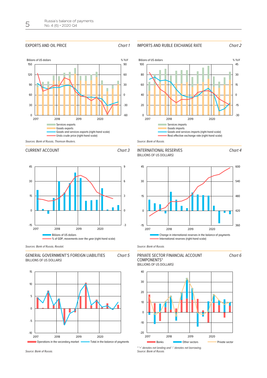#### EXPORTS AND OIL PRICE **Chart 1**



100

#### IMPORTS AND RUBLE EXCHANGE RATE Chart *2*





Billions of US dollars  $\%$  YoY

#### CURRENT ACCOUNT CHART **3**



Sources: Bank of Russia, Rosstat.





### INTERNATIONAL RESERVES (BILLIONS OF US DOLLARS) Размер графика – **63х82**



Source: Bank of Russia.

#### **EXAMPLE CONSIDERED**<br>(BILLIONS OF US DOLLARS) PRIVATE SECTOR FINANCIAL ACCOUNT COMPONENTS\*



\* '+' denotes net lending and '-' denotes net borrowing. Source: Bank of Russia.

45

Chart *4*

Chart *6*